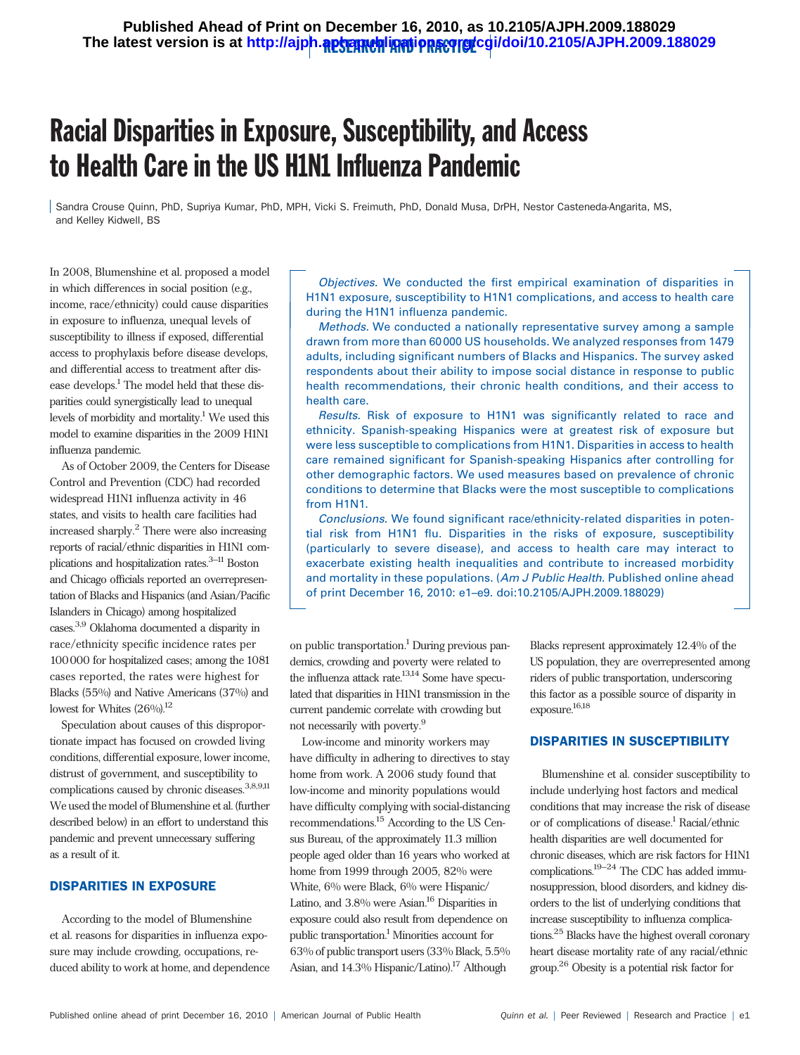# Racial Disparities in Exposure, Susceptibility, and Access to Health Care in the US H1N1 Influenza Pandemic

Sandra Crouse Quinn, PhD, Supriya Kumar, PhD, MPH, Vicki S. Freimuth, PhD, Donald Musa, DrPH, Nestor Casteneda-Angarita, MS, and Kelley Kidwell, BS

In 2008, Blumenshine et al. proposed a model in which differences in social position (e.g., income, race/ethnicity) could cause disparities in exposure to influenza, unequal levels of susceptibility to illness if exposed, differential access to prophylaxis before disease develops, and differential access to treatment after disease develops.1 The model held that these disparities could synergistically lead to unequal levels of morbidity and mortality.<sup>1</sup> We used this model to examine disparities in the 2009 H1N1 influenza pandemic.

As of October 2009, the Centers for Disease Control and Prevention (CDC) had recorded widespread H1N1 influenza activity in 46 states, and visits to health care facilities had increased sharply.<sup>2</sup> There were also increasing reports of racial/ethnic disparities in H1N1 complications and hospitalization rates.3–11 Boston and Chicago officials reported an overrepresentation of Blacks and Hispanics (and Asian/Pacific Islanders in Chicago) among hospitalized cases.3,9 Oklahoma documented a disparity in race/ethnicity specific incidence rates per 100000 for hospitalized cases; among the 1081 cases reported, the rates were highest for Blacks (55%) and Native Americans (37%) and lowest for Whites  $(26\%)^{12}$ 

Speculation about causes of this disproportionate impact has focused on crowded living conditions, differential exposure, lower income, distrust of government, and susceptibility to complications caused by chronic diseases.<sup>3,8,9,11</sup> We used the model of Blumenshine et al. (further described below) in an effort to understand this pandemic and prevent unnecessary suffering as a result of it.

### DISPARITIES IN EXPOSURE

According to the model of Blumenshine et al. reasons for disparities in influenza exposure may include crowding, occupations, reduced ability to work at home, and dependence

Objectives. We conducted the first empirical examination of disparities in H1N1 exposure, susceptibility to H1N1 complications, and access to health care during the H1N1 influenza pandemic.

Methods. We conducted a nationally representative survey among a sample drawn from more than 60 000 US households. We analyzed responses from 1479 adults, including significant numbers of Blacks and Hispanics. The survey asked respondents about their ability to impose social distance in response to public health recommendations, their chronic health conditions, and their access to health care.

Results. Risk of exposure to H1N1 was significantly related to race and ethnicity. Spanish-speaking Hispanics were at greatest risk of exposure but were less susceptible to complications from H1N1. Disparities in access to health care remained significant for Spanish-speaking Hispanics after controlling for other demographic factors. We used measures based on prevalence of chronic conditions to determine that Blacks were the most susceptible to complications from H1N1.

Conclusions. We found significant race/ethnicity-related disparities in potential risk from H1N1 flu. Disparities in the risks of exposure, susceptibility (particularly to severe disease), and access to health care may interact to exacerbate existing health inequalities and contribute to increased morbidity and mortality in these populations. (Am J Public Health. Published online ahead of print December 16, 2010: e1–e9. doi:10.2105/AJPH.2009.188029)

on public transportation.<sup>1</sup> During previous pandemics, crowding and poverty were related to the influenza attack rate.<sup>13,14</sup> Some have speculated that disparities in H1N1 transmission in the current pandemic correlate with crowding but not necessarily with poverty.9

Low-income and minority workers may have difficulty in adhering to directives to stay home from work. A 2006 study found that low-income and minority populations would have difficulty complying with social-distancing recommendations.15 According to the US Census Bureau, of the approximately 11.3 million people aged older than 16 years who worked at home from 1999 through 2005, 82% were White, 6% were Black, 6% were Hispanic/ Latino, and  $3.8\%$  were Asian.<sup>16</sup> Disparities in exposure could also result from dependence on public transportation.1 Minorities account for 63% of public transport users (33% Black, 5.5% Asian, and 14.3% Hispanic/Latino).<sup>17</sup> Although

Blacks represent approximately 12.4% of the US population, they are overrepresented among riders of public transportation, underscoring this factor as a possible source of disparity in exposure.16,18

### DISPARITIES IN SUSCEPTIBILITY

Blumenshine et al. consider susceptibility to include underlying host factors and medical conditions that may increase the risk of disease or of complications of disease.<sup>1</sup> Racial/ethnic health disparities are well documented for chronic diseases, which are risk factors for H1N1 complications.19–24 The CDC has added immunosuppression, blood disorders, and kidney disorders to the list of underlying conditions that increase susceptibility to influenza complications.25 Blacks have the highest overall coronary heart disease mortality rate of any racial/ethnic group.26 Obesity is a potential risk factor for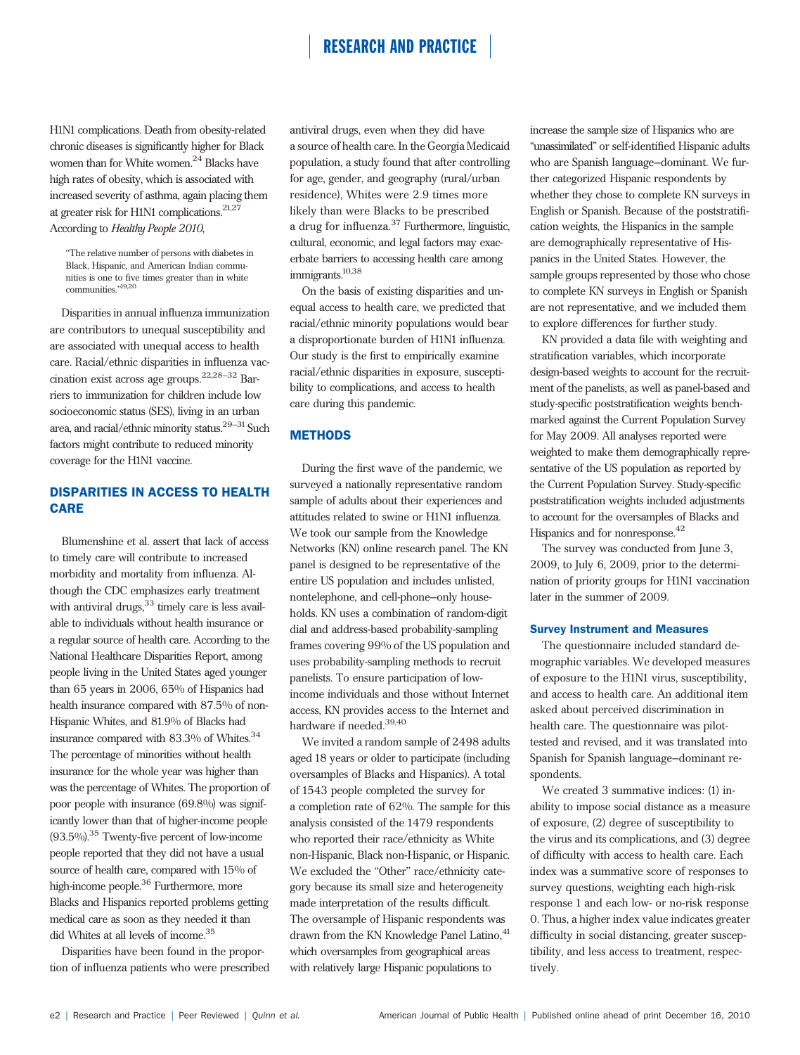H1N1 complications. Death from obesity-related chronic diseases is significantly higher for Black women than for White women.<sup>24</sup> Blacks have high rates of obesity, which is associated with increased severity of asthma, again placing them at greater risk for H1N1 complications.21,27 According to Healthy People 2010,

''The relative number of persons with diabetes in Black, Hispanic, and American Indian communities is one to five times greater than in white communities."<sup>19,20</sup>

Disparities in annual influenza immunization are contributors to unequal susceptibility and are associated with unequal access to health care. Racial/ethnic disparities in influenza vaccination exist across age groups.22,28–32 Barriers to immunization for children include low socioeconomic status (SES), living in an urban area, and racial/ethnic minority status.29–31 Such factors might contribute to reduced minority coverage for the H1N1 vaccine.

## DISPARITIES IN ACCESS TO HEALTH CARE

Blumenshine et al. assert that lack of access to timely care will contribute to increased morbidity and mortality from influenza. Although the CDC emphasizes early treatment with antiviral drugs,  $33$  timely care is less available to individuals without health insurance or a regular source of health care. According to the National Healthcare Disparities Report, among people living in the United States aged younger than 65 years in 2006, 65% of Hispanics had health insurance compared with 87.5% of non-Hispanic Whites, and 81.9% of Blacks had insurance compared with  $83.3\%$  of Whites.  $^{34}$ The percentage of minorities without health insurance for the whole year was higher than was the percentage of Whites. The proportion of poor people with insurance (69.8%) was significantly lower than that of higher-income people  $(93.5\%)$ <sup>35</sup> Twenty-five percent of low-income people reported that they did not have a usual source of health care, compared with 15% of high-income people.<sup>36</sup> Furthermore, more Blacks and Hispanics reported problems getting medical care as soon as they needed it than did Whites at all levels of income.<sup>35</sup>

Disparities have been found in the proportion of influenza patients who were prescribed

antiviral drugs, even when they did have a source of health care. In the Georgia Medicaid population, a study found that after controlling for age, gender, and geography (rural/urban residence), Whites were 2.9 times more likely than were Blacks to be prescribed a drug for influenza.<sup>37</sup> Furthermore, linguistic, cultural, economic, and legal factors may exacerbate barriers to accessing health care among immigrants.<sup>10,38</sup>

On the basis of existing disparities and unequal access to health care, we predicted that racial/ethnic minority populations would bear a disproportionate burden of H1N1 influenza. Our study is the first to empirically examine racial/ethnic disparities in exposure, susceptibility to complications, and access to health care during this pandemic.

## **METHODS**

During the first wave of the pandemic, we surveyed a nationally representative random sample of adults about their experiences and attitudes related to swine or H1N1 influenza. We took our sample from the Knowledge Networks (KN) online research panel. The KN panel is designed to be representative of the entire US population and includes unlisted, nontelephone, and cell-phone–only households. KN uses a combination of random-digit dial and address-based probability-sampling frames covering 99% of the US population and uses probability-sampling methods to recruit panelists. To ensure participation of lowincome individuals and those without Internet access, KN provides access to the Internet and hardware if needed.<sup>39,40</sup>

We invited a random sample of 2498 adults aged 18 years or older to participate (including oversamples of Blacks and Hispanics). A total of 1543 people completed the survey for a completion rate of 62%. The sample for this analysis consisted of the 1479 respondents who reported their race/ethnicity as White non-Hispanic, Black non-Hispanic, or Hispanic. We excluded the "Other" race/ethnicity category because its small size and heterogeneity made interpretation of the results difficult. The oversample of Hispanic respondents was drawn from the KN Knowledge Panel Latino, <sup>41</sup> which oversamples from geographical areas with relatively large Hispanic populations to

increase the sample size of Hispanics who are ''unassimilated'' or self-identified Hispanic adults who are Spanish language–dominant. We further categorized Hispanic respondents by whether they chose to complete KN surveys in English or Spanish. Because of the poststratification weights, the Hispanics in the sample are demographically representative of Hispanics in the United States. However, the sample groups represented by those who chose to complete KN surveys in English or Spanish are not representative, and we included them to explore differences for further study.

KN provided a data file with weighting and stratification variables, which incorporate design-based weights to account for the recruitment of the panelists, as well as panel-based and study-specific poststratification weights benchmarked against the Current Population Survey for May 2009. All analyses reported were weighted to make them demographically representative of the US population as reported by the Current Population Survey. Study-specific poststratification weights included adjustments to account for the oversamples of Blacks and Hispanics and for nonresponse.<sup>42</sup>

The survey was conducted from June 3, 2009, to July 6, 2009, prior to the determination of priority groups for H1N1 vaccination later in the summer of 2009.

### Survey Instrument and Measures

The questionnaire included standard demographic variables. We developed measures of exposure to the H1N1 virus, susceptibility, and access to health care. An additional item asked about perceived discrimination in health care. The questionnaire was pilottested and revised, and it was translated into Spanish for Spanish language–dominant respondents.

We created 3 summative indices: (1) inability to impose social distance as a measure of exposure, (2) degree of susceptibility to the virus and its complications, and (3) degree of difficulty with access to health care. Each index was a summative score of responses to survey questions, weighting each high-risk response 1 and each low- or no-risk response 0. Thus, a higher index value indicates greater difficulty in social distancing, greater susceptibility, and less access to treatment, respectively.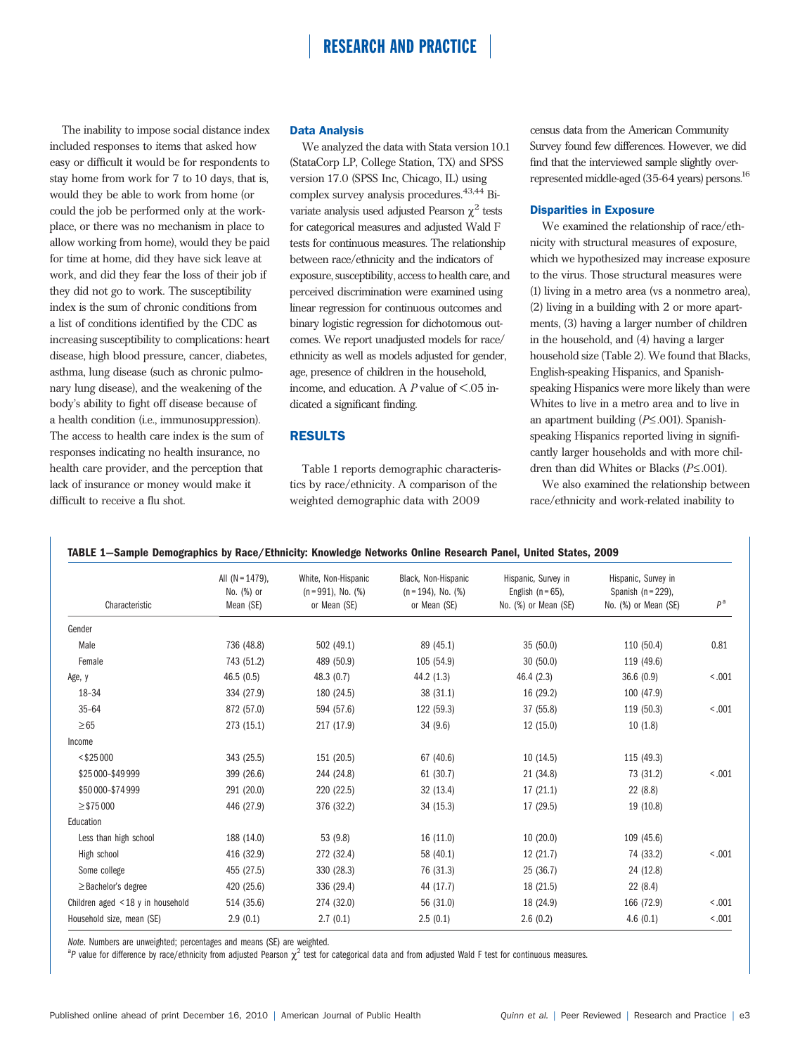The inability to impose social distance index included responses to items that asked how easy or difficult it would be for respondents to stay home from work for 7 to 10 days, that is, would they be able to work from home (or could the job be performed only at the workplace, or there was no mechanism in place to allow working from home), would they be paid for time at home, did they have sick leave at work, and did they fear the loss of their job if they did not go to work. The susceptibility index is the sum of chronic conditions from a list of conditions identified by the CDC as increasing susceptibility to complications: heart disease, high blood pressure, cancer, diabetes, asthma, lung disease (such as chronic pulmonary lung disease), and the weakening of the body's ability to fight off disease because of a health condition (i.e., immunosuppression). The access to health care index is the sum of responses indicating no health insurance, no health care provider, and the perception that lack of insurance or money would make it difficult to receive a flu shot.

#### Data Analysis

We analyzed the data with Stata version 10.1 (StataCorp LP, College Station, TX) and SPSS version 17.0 (SPSS Inc, Chicago, IL) using complex survey analysis procedures.  $43,44$  Bivariate analysis used adjusted Pearson  $\chi^2$  tests for categorical measures and adjusted Wald F tests for continuous measures. The relationship between race/ethnicity and the indicators of exposure, susceptibility, access to health care, and perceived discrimination were examined using linear regression for continuous outcomes and binary logistic regression for dichotomous outcomes. We report unadjusted models for race/ ethnicity as well as models adjusted for gender, age, presence of children in the household, income, and education. A  $P$  value of  $\leq 0.05$  indicated a significant finding.

### RESULTS

Table 1 reports demographic characteristics by race/ethnicity. A comparison of the weighted demographic data with 2009

census data from the American Community Survey found few differences. However, we did find that the interviewed sample slightly overrepresented middle-aged (35-64 years) persons.<sup>16</sup>

#### Disparities in Exposure

We examined the relationship of race/ethnicity with structural measures of exposure, which we hypothesized may increase exposure to the virus. Those structural measures were (1) living in a metro area (vs a nonmetro area), (2) living in a building with 2 or more apartments, (3) having a larger number of children in the household, and (4) having a larger household size (Table 2). We found that Blacks, English-speaking Hispanics, and Spanishspeaking Hispanics were more likely than were Whites to live in a metro area and to live in an apartment building  $(P \le 0.001)$ . Spanishspeaking Hispanics reported living in significantly larger households and with more children than did Whites or Blacks  $(P \le 0.001)$ .

We also examined the relationship between race/ethnicity and work-related inability to

| TABLE 1-Sample Demographics by Race/Ethnicity: Knowledge Networks Online Research Panel, United States, 2009 |
|--------------------------------------------------------------------------------------------------------------|
|--------------------------------------------------------------------------------------------------------------|

|                                        | All $(N = 1479)$ , | White, Non-Hispanic      | Black, Non-Hispanic      | Hispanic, Survey in  | Hispanic, Survey in    |                |  |
|----------------------------------------|--------------------|--------------------------|--------------------------|----------------------|------------------------|----------------|--|
|                                        | No. (%) or         | $(n = 991)$ , No. $(\%)$ | $(n = 194)$ , No. $(\%)$ | English $(n = 65)$ , | Spanish ( $n = 229$ ), |                |  |
| Characteristic                         | Mean (SE)          | or Mean (SE)             | or Mean (SE)             | No. (%) or Mean (SE) | No. (%) or Mean (SE)   | P <sup>a</sup> |  |
| Gender                                 |                    |                          |                          |                      |                        |                |  |
| Male                                   | 736 (48.8)         | 502 (49.1)               | 89 (45.1)                | 35(50.0)             | 110 (50.4)             | 0.81           |  |
| Female                                 | 743 (51.2)         | 489 (50.9)               | 105 (54.9)               | 30(50.0)             | 119 (49.6)             |                |  |
| Age, y                                 | 46.5(0.5)          | 48.3 (0.7)               | 44.2 (1.3)               | 46.4 (2.3)           | 36.6(0.9)              | < .001         |  |
| $18 - 34$                              | 334 (27.9)         | 180 (24.5)               | 38(31.1)                 | 16 (29.2)            | 100 (47.9)             |                |  |
| $35 - 64$                              | 872 (57.0)         | 594 (57.6)               | 122 (59.3)               | 37 (55.8)            | 119 (50.3)             | < 0.001        |  |
| $\geq 65$                              | 273 (15.1)         | 217 (17.9)               | 34(9.6)                  | 12(15.0)             | 10(1.8)                |                |  |
| Income                                 |                    |                          |                          |                      |                        |                |  |
| $<$ \$25 000                           | 343 (25.5)         | 151 (20.5)               | 67 (40.6)                | 10(14.5)             | 115 (49.3)             |                |  |
| \$25 000-\$49 999                      | 399 (26.6)         | 244 (24.8)               | 61 (30.7)                | 21 (34.8)            | 73 (31.2)              | < .001         |  |
| \$50 000-\$74 999                      | 291 (20.0)         | 220 (22.5)               | 32(13.4)                 | 17(21.1)             | 22(8.8)                |                |  |
| $\ge$ \$75 000                         | 446 (27.9)         | 376 (32.2)               | 34 (15.3)                | 17 (29.5)            | 19 (10.8)              |                |  |
| Education                              |                    |                          |                          |                      |                        |                |  |
| Less than high school                  | 188 (14.0)         | 53 (9.8)                 | 16(11.0)                 | 10(20.0)             | 109 (45.6)             |                |  |
| High school                            | 416 (32.9)         | 272 (32.4)               | 58 (40.1)                | 12(21.7)             | 74 (33.2)              | < .001         |  |
| Some college                           | 455 (27.5)         | 330 (28.3)               | 76 (31.3)                | 25 (36.7)            | 24 (12.8)              |                |  |
| $\geq$ Bachelor's degree               | 420 (25.6)         | 336 (29.4)               | 44 (17.7)                | 18 (21.5)            | 22 (8.4)               |                |  |
| Children aged $\leq$ 18 y in household | 514 (35.6)         | 274 (32.0)               | 56 (31.0)                | 18 (24.9)            | 166 (72.9)             | < .001         |  |
| Household size, mean (SE)              | 2.9(0.1)           | 2.7(0.1)                 | 2.5(0.1)                 | 2.6(0.2)             | 4.6(0.1)               | < .001         |  |

Note. Numbers are unweighted; percentages and means (SE) are weighted.

<sup>a</sup>P value for difference by race/ethnicity from adjusted Pearson  $\chi^2$  test for categorical data and from adjusted Wald F test for continuous measures.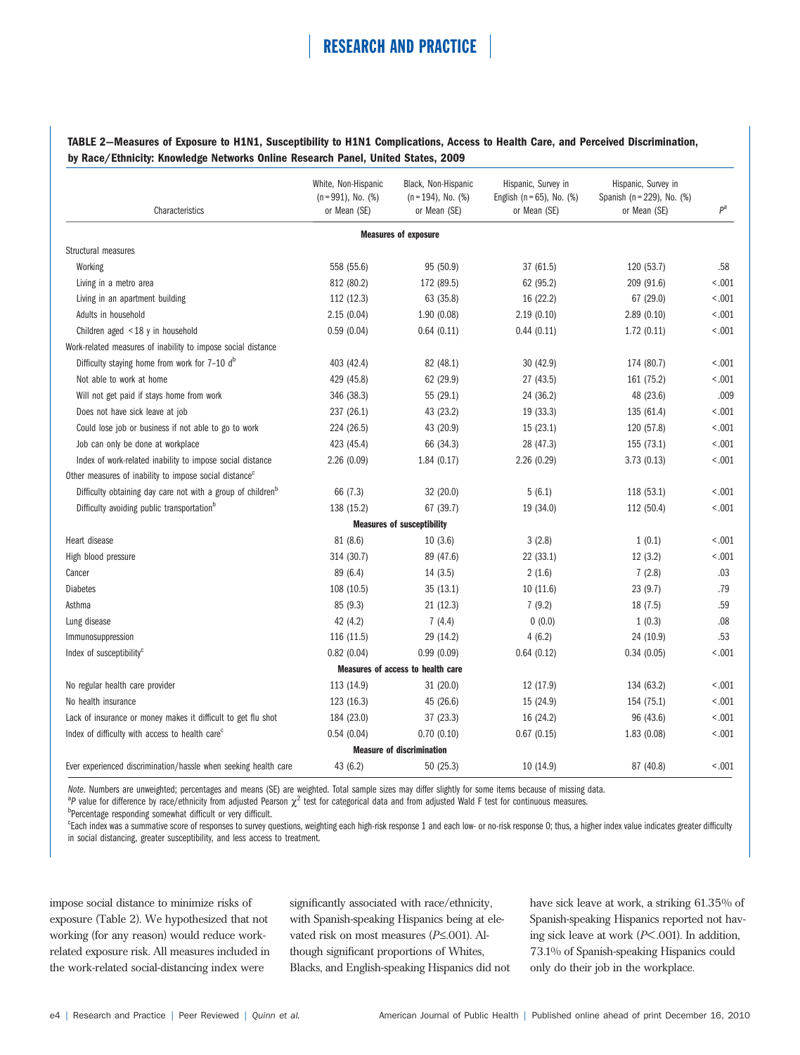### TABLE 2—Measures of Exposure to H1N1, Susceptibility to H1N1 Complications, Access to Health Care, and Perceived Discrimination, by Race/Ethnicity: Knowledge Networks Online Research Panel, United States, 2009

| Characteristics                                                         | White, Non-Hispanic<br>Black, Non-Hispanic<br>$(n=991)$ , No. $(\%)$<br>$(n = 194)$ , No. $(\%)$<br>or Mean (SE)<br>or Mean (SE)<br>or Mean (SE) |                                   | Hispanic, Survey in<br>English ( $n = 65$ ), No. (%) | Hispanic, Survey in<br>Spanish (n = 229), No. (%)<br>or Mean (SE) |        |
|-------------------------------------------------------------------------|--------------------------------------------------------------------------------------------------------------------------------------------------|-----------------------------------|------------------------------------------------------|-------------------------------------------------------------------|--------|
|                                                                         |                                                                                                                                                  | <b>Measures of exposure</b>       |                                                      |                                                                   |        |
| Structural measures                                                     |                                                                                                                                                  |                                   |                                                      |                                                                   |        |
| Working                                                                 | 558 (55.6)                                                                                                                                       | 95 (50.9)                         | 37 (61.5)                                            | 120 (53.7)                                                        | .58    |
| Living in a metro area                                                  | 812 (80.2)                                                                                                                                       | 172 (89.5)                        | 62 (95.2)                                            | 209 (91.6)                                                        | < .001 |
| Living in an apartment building                                         | 112 (12.3)                                                                                                                                       | 63 (35.8)                         | 16 (22.2)                                            | 67 (29.0)                                                         | < .001 |
| Adults in household                                                     | 2.15(0.04)                                                                                                                                       | 1.90(0.08)                        | 2.19(0.10)                                           | 2.89(0.10)                                                        | < .001 |
| Children aged $\leq$ 18 y in household                                  | 0.59(0.04)                                                                                                                                       | 0.64(0.11)                        | 0.44(0.11)                                           | 1.72(0.11)                                                        | < .001 |
| Work-related measures of inability to impose social distance            |                                                                                                                                                  |                                   |                                                      |                                                                   |        |
| Difficulty staying home from work for 7-10 db                           | 403 (42.4)                                                                                                                                       | 82 (48.1)                         | 30(42.9)                                             | 174 (80.7)                                                        | < .001 |
| Not able to work at home                                                | 429 (45.8)                                                                                                                                       | 62 (29.9)                         | 27 (43.5)                                            | 161 (75.2)                                                        | < .001 |
| Will not get paid if stays home from work                               | 346 (38.3)                                                                                                                                       | 55 (29.1)                         | 24 (36.2)                                            | 48 (23.6)                                                         | .009   |
| Does not have sick leave at job                                         | 237 (26.1)                                                                                                                                       | 43 (23.2)                         | 19 (33.3)                                            | 135 (61.4)                                                        | < .001 |
| Could lose job or business if not able to go to work                    | 224 (26.5)                                                                                                                                       | 43 (20.9)                         | 15(23.1)                                             | 120 (57.8)                                                        | < .001 |
| Job can only be done at workplace                                       | 423 (45.4)                                                                                                                                       | 66 (34.3)                         | 28 (47.3)                                            | 155 (73.1)                                                        | < .001 |
| Index of work-related inability to impose social distance               | 2.26(0.09)                                                                                                                                       | 1.84(0.17)                        | 2.26(0.29)                                           | 3.73(0.13)                                                        | < .001 |
| Other measures of inability to impose social distance <sup>c</sup>      |                                                                                                                                                  |                                   |                                                      |                                                                   |        |
| Difficulty obtaining day care not with a group of children <sup>o</sup> | 66 (7.3)                                                                                                                                         | 32 (20.0)                         | 5(6.1)                                               | 118 (53.1)                                                        | < .001 |
| Difficulty avoiding public transportation <sup>b</sup>                  | 138 (15.2)                                                                                                                                       | 67 (39.7)                         | 19 (34.0)                                            | 112 (50.4)                                                        | < .001 |
|                                                                         |                                                                                                                                                  | <b>Measures of susceptibility</b> |                                                      |                                                                   |        |
| Heart disease                                                           | 81 (8.6)                                                                                                                                         | 10(3.6)                           | 3(2.8)                                               | 1(0.1)                                                            | < .001 |
| High blood pressure                                                     | 314 (30.7)                                                                                                                                       | 89 (47.6)                         | 22 (33.1)                                            | 12(3.2)                                                           | < .001 |
| Cancer                                                                  | 89 (6.4)                                                                                                                                         | 14(3.5)                           | 2(1.6)                                               | 7(2.8)                                                            | .03    |
| <b>Diabetes</b>                                                         | 108 (10.5)                                                                                                                                       | 35(13.1)                          | 10(11.6)                                             | 23 (9.7)                                                          | .79    |
| Asthma                                                                  | 85 (9.3)                                                                                                                                         | 21(12.3)                          | 7(9.2)                                               | 18 (7.5)                                                          | .59    |
| Lung disease                                                            | 42 (4.2)                                                                                                                                         | 7(4.4)                            | 0(0.0)                                               | 1(0.3)                                                            | .08    |
| Immunosuppression                                                       | 116 (11.5)                                                                                                                                       | 29 (14.2)                         | 4(6.2)                                               | 24 (10.9)                                                         | .53    |
| Index of susceptibility <sup>c</sup>                                    | 0.82(0.04)                                                                                                                                       | 0.99(0.09)                        | 0.64(0.12)                                           | 0.34(0.05)                                                        | < .001 |
|                                                                         |                                                                                                                                                  | Measures of access to health care |                                                      |                                                                   |        |
| No regular health care provider                                         | 113 (14.9)                                                                                                                                       | 31(20.0)                          | 12 (17.9)                                            | 134 (63.2)                                                        | < .001 |
| No health insurance                                                     | 123 (16.3)                                                                                                                                       | 45 (26.6)                         | 15 (24.9)                                            | 154 (75.1)                                                        | < .001 |
| Lack of insurance or money makes it difficult to get flu shot           | 184 (23.0)                                                                                                                                       | 37(23.3)                          | 16 (24.2)                                            | 96 (43.6)                                                         | < .001 |
| Index of difficulty with access to health care <sup>c</sup>             | 0.54(0.04)                                                                                                                                       | 0.70(0.10)                        | 0.67(0.15)                                           | 1.83(0.08)                                                        | < .001 |
|                                                                         |                                                                                                                                                  | <b>Measure of discrimination</b>  |                                                      |                                                                   |        |
| Ever experienced discrimination/hassle when seeking health care         | 43 (6.2)                                                                                                                                         | 50(25.3)                          | 10 (14.9)                                            | 87 (40.8)                                                         | < .001 |

Note. Numbers are unweighted; percentages and means (SE) are weighted. Total sample sizes may differ slightly for some items because of missing data.

<sup>a</sup>P value for difference by race/ethnicity from adjusted Pearson  $\chi^2$  test for categorical data and from adjusted Wald F test for continuous measures.

b<sub>Percentage responding somewhat difficult or very difficult.</sub>

en index was a summative score of responses to survey questions, weighting each high-risk response 1 and each low- or no-risk response 0; thus, a higher index value indicates greater difficulty in social distancing, greater susceptibility, and less access to treatment.

impose social distance to minimize risks of exposure (Table 2). We hypothesized that not working (for any reason) would reduce workrelated exposure risk. All measures included in the work-related social-distancing index were

significantly associated with race/ethnicity, with Spanish-speaking Hispanics being at elevated risk on most measures  $(P \le 001)$ . Although significant proportions of Whites, Blacks, and English-speaking Hispanics did not have sick leave at work, a striking 61.35% of Spanish-speaking Hispanics reported not having sick leave at work (P< .001). In addition, 73.1% of Spanish-speaking Hispanics could only do their job in the workplace.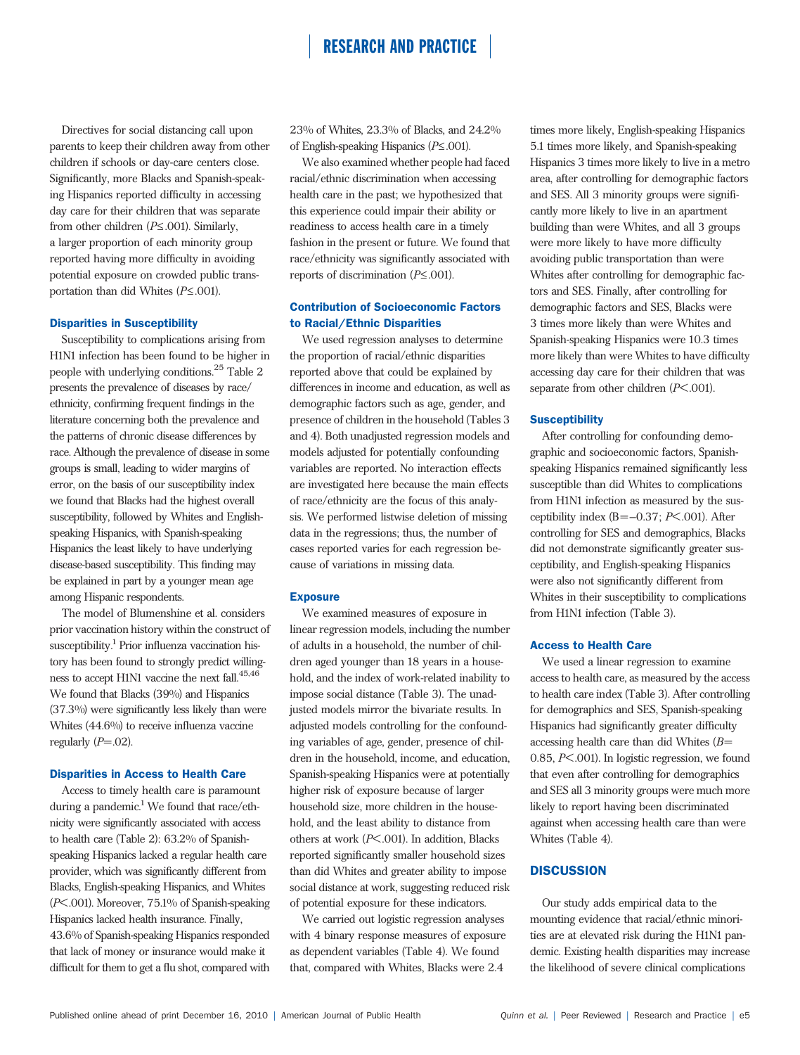Directives for social distancing call upon parents to keep their children away from other children if schools or day-care centers close. Significantly, more Blacks and Spanish-speaking Hispanics reported difficulty in accessing day care for their children that was separate from other children  $(P \le 0.001)$ . Similarly, a larger proportion of each minority group reported having more difficulty in avoiding potential exposure on crowded public transportation than did Whites  $(P \le 0.001)$ .

#### Disparities in Susceptibility

Susceptibility to complications arising from H1N1 infection has been found to be higher in people with underlying conditions.  $^{25}$  Table  $2\,$ presents the prevalence of diseases by race/ ethnicity, confirming frequent findings in the literature concerning both the prevalence and the patterns of chronic disease differences by race. Although the prevalence of disease in some groups is small, leading to wider margins of error, on the basis of our susceptibility index we found that Blacks had the highest overall susceptibility, followed by Whites and Englishspeaking Hispanics, with Spanish-speaking Hispanics the least likely to have underlying disease-based susceptibility. This finding may be explained in part by a younger mean age among Hispanic respondents.

The model of Blumenshine et al. considers prior vaccination history within the construct of susceptibility.<sup>1</sup> Prior influenza vaccination history has been found to strongly predict willingness to accept H1N1 vaccine the next fall. $^{45,46}$ We found that Blacks (39%) and Hispanics (37.3%) were significantly less likely than were Whites (44.6%) to receive influenza vaccine regularly  $(P=.02)$ .

#### Disparities in Access to Health Care

Access to timely health care is paramount during a pandemic.<sup>1</sup> We found that race/ethnicity were significantly associated with access to health care (Table 2): 63.2% of Spanishspeaking Hispanics lacked a regular health care provider, which was significantly different from Blacks, English-speaking Hispanics, and Whites (P< .001). Moreover, 75.1% of Spanish-speaking Hispanics lacked health insurance. Finally, 43.6% of Spanish-speaking Hispanics responded that lack of money or insurance would make it difficult for them to get a flu shot, compared with

23% of Whites, 23.3% of Blacks, and 24.2% of English-speaking Hispanics ( $P \leq .001$ ).

We also examined whether people had faced racial/ethnic discrimination when accessing health care in the past; we hypothesized that this experience could impair their ability or readiness to access health care in a timely fashion in the present or future. We found that race/ethnicity was significantly associated with reports of discrimination ( $P \leq .001$ ).

### Contribution of Socioeconomic Factors to Racial/Ethnic Disparities

We used regression analyses to determine the proportion of racial/ethnic disparities reported above that could be explained by differences in income and education, as well as demographic factors such as age, gender, and presence of children in the household (Tables 3 and 4). Both unadjusted regression models and models adjusted for potentially confounding variables are reported. No interaction effects are investigated here because the main effects of race/ethnicity are the focus of this analysis. We performed listwise deletion of missing data in the regressions; thus, the number of cases reported varies for each regression because of variations in missing data.

#### **Exposure**

We examined measures of exposure in linear regression models, including the number of adults in a household, the number of children aged younger than 18 years in a household, and the index of work-related inability to impose social distance (Table 3). The unadjusted models mirror the bivariate results. In adjusted models controlling for the confounding variables of age, gender, presence of children in the household, income, and education, Spanish-speaking Hispanics were at potentially higher risk of exposure because of larger household size, more children in the household, and the least ability to distance from others at work (P< .001). In addition, Blacks reported significantly smaller household sizes than did Whites and greater ability to impose social distance at work, suggesting reduced risk of potential exposure for these indicators.

We carried out logistic regression analyses with 4 binary response measures of exposure as dependent variables (Table 4). We found that, compared with Whites, Blacks were 2.4

times more likely, English-speaking Hispanics 5.1 times more likely, and Spanish-speaking Hispanics 3 times more likely to live in a metro area, after controlling for demographic factors and SES. All 3 minority groups were significantly more likely to live in an apartment building than were Whites, and all 3 groups were more likely to have more difficulty avoiding public transportation than were Whites after controlling for demographic factors and SES. Finally, after controlling for demographic factors and SES, Blacks were 3 times more likely than were Whites and Spanish-speaking Hispanics were 10.3 times more likely than were Whites to have difficulty accessing day care for their children that was separate from other children  $(P<.001)$ .

#### **Susceptibility**

After controlling for confounding demographic and socioeconomic factors, Spanishspeaking Hispanics remained significantly less susceptible than did Whites to complications from H1N1 infection as measured by the susceptibility index  $(B=-0.37; P<.001)$ . After controlling for SES and demographics, Blacks did not demonstrate significantly greater susceptibility, and English-speaking Hispanics were also not significantly different from Whites in their susceptibility to complications from H1N1 infection (Table 3).

#### Access to Health Care

We used a linear regression to examine access to health care, as measured by the access to health care index (Table 3). After controlling for demographics and SES, Spanish-speaking Hispanics had significantly greater difficulty accessing health care than did Whites  $(B=$ 0.85, P< .001). In logistic regression, we found that even after controlling for demographics and SES all 3 minority groups were much more likely to report having been discriminated against when accessing health care than were Whites (Table 4).

#### **DISCUSSION**

Our study adds empirical data to the mounting evidence that racial/ethnic minorities are at elevated risk during the H1N1 pandemic. Existing health disparities may increase the likelihood of severe clinical complications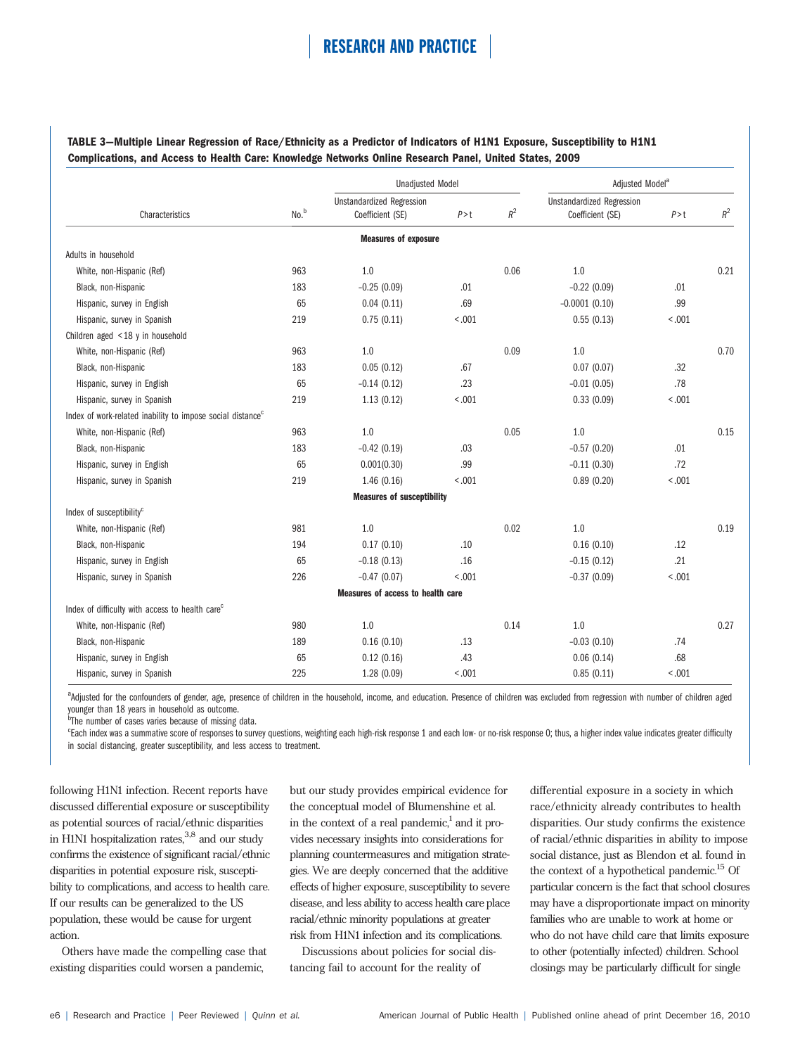TABLE 3—Multiple Linear Regression of Race/Ethnicity as a Predictor of Indicators of H1N1 Exposure, Susceptibility to H1N1 Complications, and Access to Health Care: Knowledge Networks Online Research Panel, United States, 2009

|                                                                        |      | <b>Unadjusted Model</b>           |        |       | Adjusted Model <sup>a</sup>      |        |       |
|------------------------------------------------------------------------|------|-----------------------------------|--------|-------|----------------------------------|--------|-------|
|                                                                        |      | <b>Unstandardized Regression</b>  |        |       | <b>Unstandardized Regression</b> |        |       |
| Characteristics                                                        | No.b | Coefficient (SE)                  | P > t  | $R^2$ | Coefficient (SE)                 | P > t  | $R^2$ |
|                                                                        |      | <b>Measures of exposure</b>       |        |       |                                  |        |       |
| Adults in household                                                    |      |                                   |        |       |                                  |        |       |
| White, non-Hispanic (Ref)                                              | 963  | 1.0                               |        | 0.06  | 1.0                              |        | 0.21  |
| Black, non-Hispanic                                                    | 183  | $-0.25(0.09)$                     | .01    |       | $-0.22(0.09)$                    | .01    |       |
| Hispanic, survey in English                                            | 65   | 0.04(0.11)                        | .69    |       | $-0.0001(0.10)$                  | .99    |       |
| Hispanic, survey in Spanish                                            | 219  | 0.75(0.11)                        | < .001 |       | 0.55(0.13)                       | < .001 |       |
| Children aged $\leq$ 18 y in household                                 |      |                                   |        |       |                                  |        |       |
| White, non-Hispanic (Ref)                                              | 963  | 1.0                               |        | 0.09  | 1.0                              |        | 0.70  |
| Black, non-Hispanic                                                    | 183  | 0.05(0.12)                        | .67    |       | 0.07(0.07)                       | .32    |       |
| Hispanic, survey in English                                            | 65   | $-0.14(0.12)$                     | .23    |       | $-0.01$ (0.05)                   | .78    |       |
| Hispanic, survey in Spanish                                            | 219  | 1.13(0.12)                        | < .001 |       | 0.33(0.09)                       | < .001 |       |
| Index of work-related inability to impose social distance <sup>c</sup> |      |                                   |        |       |                                  |        |       |
| White, non-Hispanic (Ref)                                              | 963  | 1.0                               |        | 0.05  | 1.0                              |        | 0.15  |
| Black, non-Hispanic                                                    | 183  | $-0.42(0.19)$                     | .03    |       | $-0.57(0.20)$                    | .01    |       |
| Hispanic, survey in English                                            | 65   | 0.001(0.30)                       | .99    |       | $-0.11(0.30)$                    | .72    |       |
| Hispanic, survey in Spanish                                            | 219  | 1.46(0.16)                        | < .001 |       | 0.89(0.20)                       | < .001 |       |
|                                                                        |      | <b>Measures of susceptibility</b> |        |       |                                  |        |       |
| Index of susceptibility <sup>c</sup>                                   |      |                                   |        |       |                                  |        |       |
| White, non-Hispanic (Ref)                                              | 981  | 1.0                               |        | 0.02  | 1.0                              |        | 0.19  |
| Black, non-Hispanic                                                    | 194  | 0.17(0.10)                        | .10    |       | 0.16(0.10)                       | .12    |       |
| Hispanic, survey in English                                            | 65   | $-0.18(0.13)$                     | .16    |       | $-0.15(0.12)$                    | .21    |       |
| Hispanic, survey in Spanish                                            | 226  | $-0.47(0.07)$                     | < .001 |       | $-0.37(0.09)$                    | < .001 |       |
|                                                                        |      | Measures of access to health care |        |       |                                  |        |       |
| Index of difficulty with access to health care <sup>c</sup>            |      |                                   |        |       |                                  |        |       |
| White, non-Hispanic (Ref)                                              | 980  | 1.0                               |        | 0.14  | 1.0                              |        | 0.27  |
| Black, non-Hispanic                                                    | 189  | 0.16(0.10)                        | .13    |       | $-0.03(0.10)$                    | .74    |       |
| Hispanic, survey in English                                            | 65   | 0.12(0.16)                        | .43    |       | 0.06(0.14)                       | .68    |       |
| Hispanic, survey in Spanish                                            | 225  | 1.28(0.09)                        | < .001 |       | 0.85(0.11)                       | < .001 |       |

<sup>a</sup>Adjusted for the confounders of gender, age, presence of children in the household, income, and education. Presence of children was excluded from regression with number of children aged younger than 18 years in household as outcome.

<sup>b</sup>The number of cases varies because of missing data.

e<br>Fach index was a summative score of responses to survey questions, weighting each high-risk response 1 and each low- or no-risk response 0; thus, a higher index value indicates greater difficulty in social distancing, greater susceptibility, and less access to treatment.

following H1N1 infection. Recent reports have discussed differential exposure or susceptibility as potential sources of racial/ethnic disparities in H1N1 hospitalization rates,<sup>3,8</sup> and our study confirms the existence of significant racial/ethnic disparities in potential exposure risk, susceptibility to complications, and access to health care. If our results can be generalized to the US population, these would be cause for urgent action.

Others have made the compelling case that existing disparities could worsen a pandemic,

but our study provides empirical evidence for the conceptual model of Blumenshine et al. in the context of a real pandemic, $\frac{1}{1}$  and it provides necessary insights into considerations for planning countermeasures and mitigation strategies. We are deeply concerned that the additive effects of higher exposure, susceptibility to severe disease, and less ability to access health care place racial/ethnic minority populations at greater risk from H1N1 infection and its complications.

Discussions about policies for social distancing fail to account for the reality of

differential exposure in a society in which race/ethnicity already contributes to health disparities. Our study confirms the existence of racial/ethnic disparities in ability to impose social distance, just as Blendon et al. found in the context of a hypothetical pandemic.<sup>15</sup> Of particular concern is the fact that school closures may have a disproportionate impact on minority families who are unable to work at home or who do not have child care that limits exposure to other (potentially infected) children. School closings may be particularly difficult for single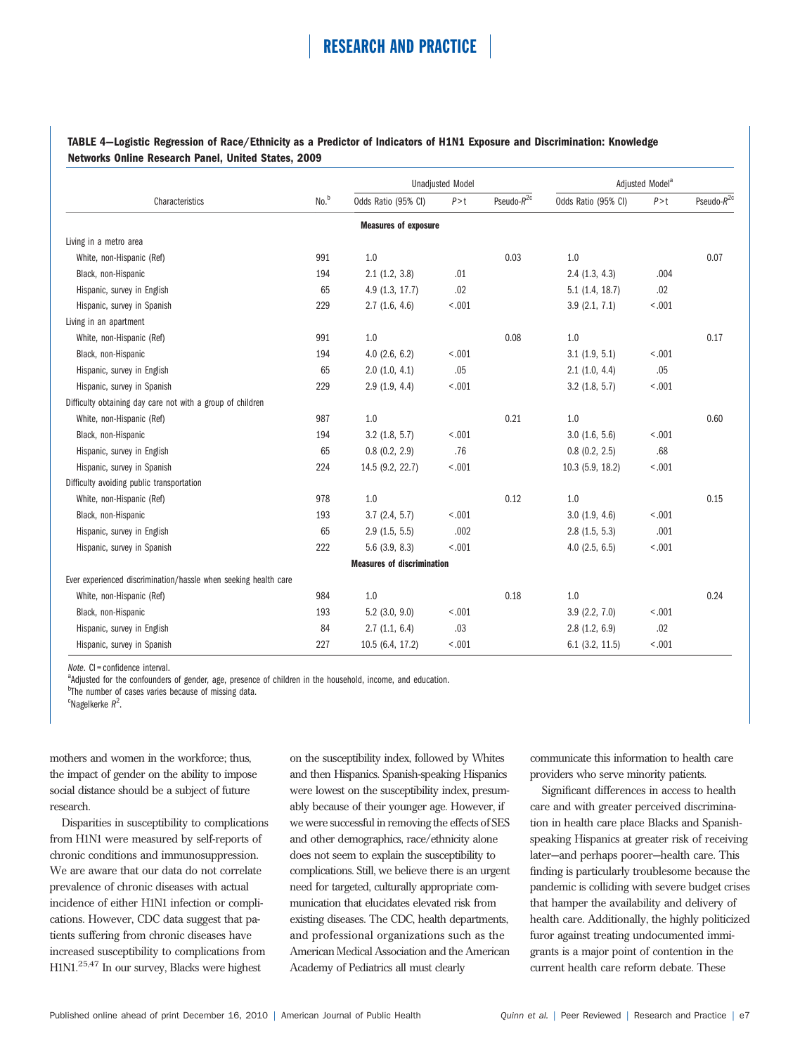### TABLE 4—Logistic Regression of Race/Ethnicity as a Predictor of Indicators of H1N1 Exposure and Discrimination: Knowledge Networks Online Research Panel, United States, 2009

|                                                                 |                  |                                   | <b>Unadjusted Model</b> |                  |                     | Adjusted Model <sup>a</sup> |                  |  |
|-----------------------------------------------------------------|------------------|-----------------------------------|-------------------------|------------------|---------------------|-----------------------------|------------------|--|
| Characteristics                                                 | No. <sup>b</sup> | Odds Ratio (95% CI)               | P > t                   | Pseudo- $R^{2c}$ | Odds Ratio (95% CI) | P > t                       | Pseudo- $R^{2c}$ |  |
|                                                                 |                  | <b>Measures of exposure</b>       |                         |                  |                     |                             |                  |  |
| Living in a metro area                                          |                  |                                   |                         |                  |                     |                             |                  |  |
| White, non-Hispanic (Ref)                                       | 991              | 1.0                               |                         | 0.03             | 1.0                 |                             | 0.07             |  |
| Black, non-Hispanic                                             | 194              | 2.1(1.2, 3.8)                     | .01                     |                  | 2.4(1.3, 4.3)       | .004                        |                  |  |
| Hispanic, survey in English                                     | 65               | 4.9(1.3, 17.7)                    | .02                     |                  | $5.1$ (1.4, 18.7)   | .02                         |                  |  |
| Hispanic, survey in Spanish                                     | 229              | 2.7(1.6, 4.6)                     | < .001                  |                  | 3.9(2.1, 7.1)       | < .001                      |                  |  |
| Living in an apartment                                          |                  |                                   |                         |                  |                     |                             |                  |  |
| White, non-Hispanic (Ref)                                       | 991              | 1.0                               |                         | 0.08             | 1.0                 |                             | 0.17             |  |
| Black, non-Hispanic                                             | 194              | $4.0$ (2.6, 6.2)                  | < .001                  |                  | $3.1$ $(1.9, 5.1)$  | < .001                      |                  |  |
| Hispanic, survey in English                                     | 65               | 2.0(1.0, 4.1)                     | .05                     |                  | 2.1(1.0, 4.4)       | .05                         |                  |  |
| Hispanic, survey in Spanish                                     | 229              | 2.9(1.9, 4.4)                     | < .001                  |                  | 3.2(1.8, 5.7)       | < .001                      |                  |  |
| Difficulty obtaining day care not with a group of children      |                  |                                   |                         |                  |                     |                             |                  |  |
| White, non-Hispanic (Ref)                                       | 987              | 1.0                               |                         | 0.21             | 1.0                 |                             | 0.60             |  |
| Black, non-Hispanic                                             | 194              | 3.2(1.8, 5.7)                     | < .001                  |                  | 3.0(1.6, 5.6)       | < .001                      |                  |  |
| Hispanic, survey in English                                     | 65               | 0.8(0.2, 2.9)                     | .76                     |                  | 0.8(0.2, 2.5)       | .68                         |                  |  |
| Hispanic, survey in Spanish                                     | 224              | 14.5 (9.2, 22.7)                  | < .001                  |                  | $10.3$ (5.9, 18.2)  | < .001                      |                  |  |
| Difficulty avoiding public transportation                       |                  |                                   |                         |                  |                     |                             |                  |  |
| White, non-Hispanic (Ref)                                       | 978              | 1.0                               |                         | 0.12             | 1.0                 |                             | 0.15             |  |
| Black, non-Hispanic                                             | 193              | 3.7(2.4, 5.7)                     | < .001                  |                  | 3.0(1.9, 4.6)       | < .001                      |                  |  |
| Hispanic, survey in English                                     | 65               | 2.9(1.5, 5.5)                     | .002                    |                  | 2.8(1.5, 5.3)       | .001                        |                  |  |
| Hispanic, survey in Spanish                                     | 222              | $5.6$ (3.9, 8.3)                  | < .001                  |                  | $4.0$ (2.5, 6.5)    | < .001                      |                  |  |
|                                                                 |                  | <b>Measures of discrimination</b> |                         |                  |                     |                             |                  |  |
| Ever experienced discrimination/hassle when seeking health care |                  |                                   |                         |                  |                     |                             |                  |  |
| White, non-Hispanic (Ref)                                       | 984              | 1.0                               |                         | 0.18             | 1.0                 |                             | 0.24             |  |
| Black, non-Hispanic                                             | 193              | $5.2$ (3.0, 9.0)                  | < .001                  |                  | 3.9(2.2, 7.0)       | < .001                      |                  |  |
| Hispanic, survey in English                                     | 84               | 2.7(1.1, 6.4)                     | .03                     |                  | 2.8(1.2, 6.9)       | .02                         |                  |  |
| Hispanic, survey in Spanish                                     | 227              | 10.5 (6.4, 17.2)                  | < .001                  |                  | $6.1$ $(3.2, 11.5)$ | < .001                      |                  |  |

 $Note.$   $Cl =$  confidence interval.

<sup>a</sup>Adjusted for the confounders of gender, age, presence of children in the household, income, and education.

<sup>b</sup>The number of cases varies because of missing data.

 $c^{\text{e}}$ Nagelkerke  $R^2$ .

mothers and women in the workforce; thus, the impact of gender on the ability to impose social distance should be a subject of future research.

Disparities in susceptibility to complications from H1N1 were measured by self-reports of chronic conditions and immunosuppression. We are aware that our data do not correlate prevalence of chronic diseases with actual incidence of either H1N1 infection or complications. However, CDC data suggest that patients suffering from chronic diseases have increased susceptibility to complications from H1N1.25,47 In our survey, Blacks were highest

on the susceptibility index, followed by Whites and then Hispanics. Spanish-speaking Hispanics were lowest on the susceptibility index, presumably because of their younger age. However, if we were successful in removing the effects of SES and other demographics, race/ethnicity alone does not seem to explain the susceptibility to complications. Still, we believe there is an urgent need for targeted, culturally appropriate communication that elucidates elevated risk from existing diseases. The CDC, health departments, and professional organizations such as the American Medical Association and the American Academy of Pediatrics all must clearly

communicate this information to health care providers who serve minority patients.

Significant differences in access to health care and with greater perceived discrimination in health care place Blacks and Spanishspeaking Hispanics at greater risk of receiving later—and perhaps poorer—health care. This finding is particularly troublesome because the pandemic is colliding with severe budget crises that hamper the availability and delivery of health care. Additionally, the highly politicized furor against treating undocumented immigrants is a major point of contention in the current health care reform debate. These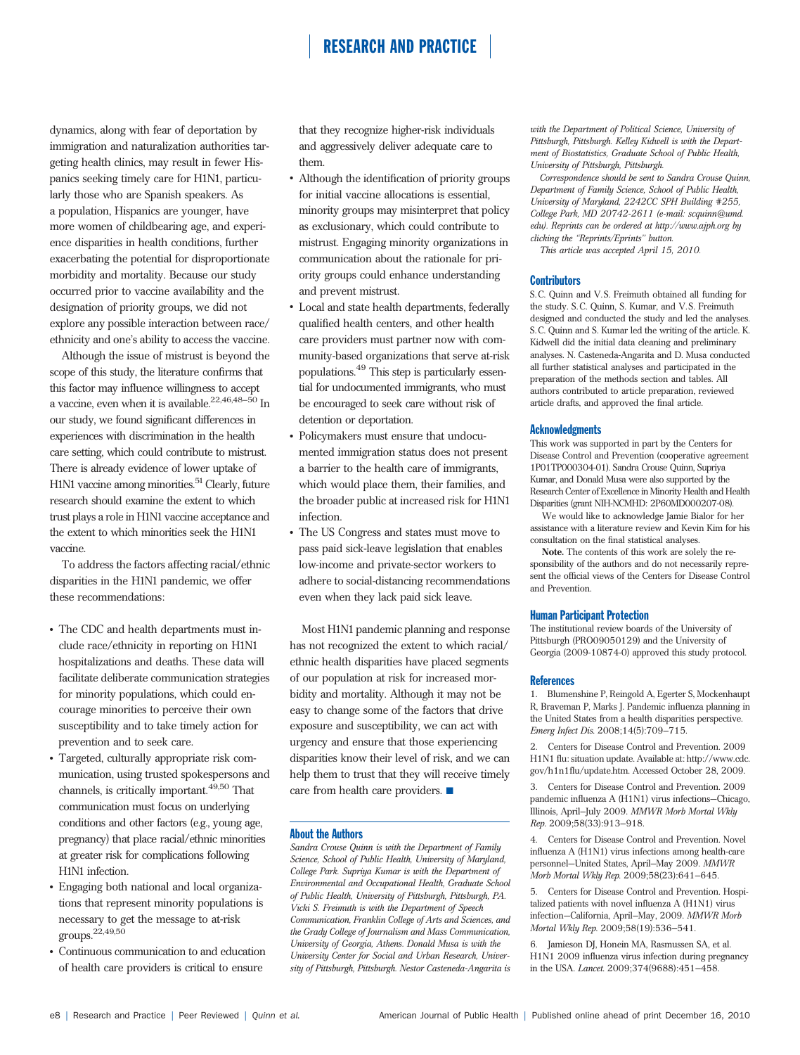dynamics, along with fear of deportation by immigration and naturalization authorities targeting health clinics, may result in fewer Hispanics seeking timely care for H1N1, particularly those who are Spanish speakers. As a population, Hispanics are younger, have more women of childbearing age, and experience disparities in health conditions, further exacerbating the potential for disproportionate morbidity and mortality. Because our study occurred prior to vaccine availability and the designation of priority groups, we did not explore any possible interaction between race/ ethnicity and one's ability to access the vaccine.

Although the issue of mistrust is beyond the scope of this study, the literature confirms that this factor may influence willingness to accept a vaccine, even when it is available.  $^{22,46,48-50}\ln$ our study, we found significant differences in experiences with discrimination in the health care setting, which could contribute to mistrust. There is already evidence of lower uptake of H1N1 vaccine among minorities.<sup>51</sup> Clearly, future research should examine the extent to which trust plays a role in H1N1 vaccine acceptance and the extent to which minorities seek the H1N1 vaccine.

To address the factors affecting racial/ethnic disparities in the H1N1 pandemic, we offer these recommendations:

- The CDC and health departments must include race/ethnicity in reporting on H1N1 hospitalizations and deaths. These data will facilitate deliberate communication strategies for minority populations, which could encourage minorities to perceive their own susceptibility and to take timely action for prevention and to seek care.
- Targeted, culturally appropriate risk communication, using trusted spokespersons and channels, is critically important.<sup>49,50</sup> That communication must focus on underlying conditions and other factors (e.g., young age, pregnancy) that place racial/ethnic minorities at greater risk for complications following H1N1 infection.
- Engaging both national and local organizations that represent minority populations is necessary to get the message to at-risk groups.22,49,50
- Continuous communication to and education of health care providers is critical to ensure

that they recognize higher-risk individuals and aggressively deliver adequate care to them.

- Although the identification of priority groups for initial vaccine allocations is essential, minority groups may misinterpret that policy as exclusionary, which could contribute to mistrust. Engaging minority organizations in communication about the rationale for priority groups could enhance understanding and prevent mistrust.
- Local and state health departments, federally qualified health centers, and other health care providers must partner now with community-based organizations that serve at-risk populations.<sup>49</sup> This step is particularly essential for undocumented immigrants, who must be encouraged to seek care without risk of detention or deportation.
- Policymakers must ensure that undocumented immigration status does not present a barrier to the health care of immigrants, which would place them, their families, and the broader public at increased risk for H1N1 infection.
- The US Congress and states must move to pass paid sick-leave legislation that enables low-income and private-sector workers to adhere to social-distancing recommendations even when they lack paid sick leave.

Most H1N1 pandemic planning and response has not recognized the extent to which racial/ ethnic health disparities have placed segments of our population at risk for increased morbidity and mortality. Although it may not be easy to change some of the factors that drive exposure and susceptibility, we can act with urgency and ensure that those experiencing disparities know their level of risk, and we can help them to trust that they will receive timely care from health care providers.  $\blacksquare$ 

#### About the Authors

Sandra Crouse Quinn is with the Department of Family Science, School of Public Health, University of Maryland, College Park. Supriya Kumar is with the Department of Environmental and Occupational Health, Graduate School of Public Health, University of Pittsburgh, Pittsburgh, PA. Vicki S. Freimuth is with the Department of Speech Communication, Franklin College of Arts and Sciences, and the Grady College of Journalism and Mass Communication, University of Georgia, Athens. Donald Musa is with the University Center for Social and Urban Research, University of Pittsburgh, Pittsburgh. Nestor Casteneda-Angarita is with the Department of Political Science, University of Pittsburgh, Pittsburgh. Kelley Kidwell is with the Department of Biostatistics, Graduate School of Public Health, University of Pittsburgh, Pittsburgh.

Correspondence should be sent to Sandra Crouse Quinn, Department of Family Science, School of Public Health, University of Maryland, 2242CC SPH Building #255, College Park, MD 20742-2611 (e-mail: scquinn@umd. edu). Reprints can be ordered at http://www.ajph.org by clicking the ''Reprints/Eprints'' button.

This article was accepted April 15, 2010.

#### **Contributors**

S. C. Quinn and V. S. Freimuth obtained all funding for the study. S.C. Quinn, S. Kumar, and V.S. Freimuth designed and conducted the study and led the analyses. S. C. Quinn and S. Kumar led the writing of the article. K. Kidwell did the initial data cleaning and preliminary analyses. N. Casteneda-Angarita and D. Musa conducted all further statistical analyses and participated in the preparation of the methods section and tables. All authors contributed to article preparation, reviewed article drafts, and approved the final article.

#### **Acknowledgments**

This work was supported in part by the Centers for Disease Control and Prevention (cooperative agreement 1P01TP000304-01). Sandra Crouse Quinn, Supriya Kumar, and Donald Musa were also supported by the Research Center of Excellence in Minority Health and Health Disparities (grant NIH-NCMHD: 2P60MD000207-08).

We would like to acknowledge Jamie Bialor for her assistance with a literature review and Kevin Kim for his consultation on the final statistical analyses.

Note. The contents of this work are solely the responsibility of the authors and do not necessarily represent the official views of the Centers for Disease Control and Prevention.

#### Human Participant Protection

The institutional review boards of the University of Pittsburgh (PRO09050129) and the University of Georgia (2009-10874-0) approved this study protocol.

#### **References**

1. Blumenshine P, Reingold A, Egerter S, Mockenhaupt R, Braveman P, Marks J. Pandemic influenza planning in the United States from a health disparities perspective. Emerg Infect Dis. 2008;14(5):709–715.

2. Centers for Disease Control and Prevention. 2009 H1N1 flu: situation update. Available at: http://www.cdc. gov/h1n1flu/update.htm. Accessed October 28, 2009.

3. Centers for Disease Control and Prevention. 2009 pandemic influenza A (H1N1) virus infections—Chicago, Illinois, April–July 2009. MMWR Morb Mortal Wkly Rep. 2009;58(33):913–918.

4. Centers for Disease Control and Prevention. Novel influenza A (H1N1) virus infections among health-care personnel—United States, April–May 2009. MMWR Morb Mortal Wkly Rep. 2009;58(23):641–645.

5. Centers for Disease Control and Prevention. Hospitalized patients with novel influenza A (H1N1) virus infection—California, April–May, 2009. MMWR Morb Mortal Wkly Rep. 2009;58(19):536–541.

6. Jamieson DJ, Honein MA, Rasmussen SA, et al. H1N1 2009 influenza virus infection during pregnancy in the USA. Lancet. 2009;374(9688):451–458.